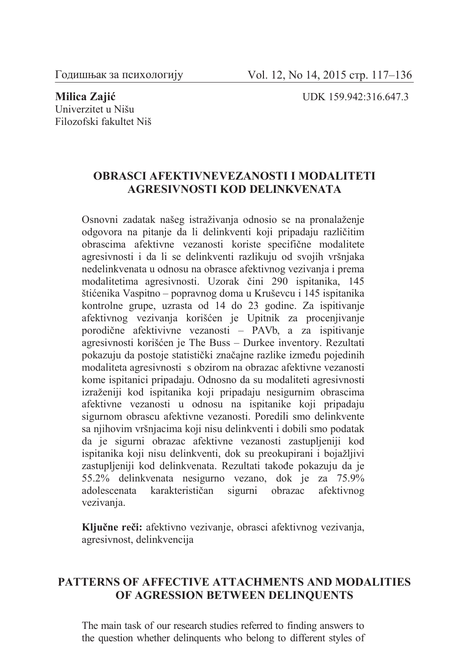## Univerzitet u Nišu Filozofski fakultet Niš

**Milica Zajić** UDK 159.942:316.647.3

## **OBRASCI AFEKTIVNEVEZANOSTI I MODALITETI AGRESIVNOSTI KOD DELINKVENATA**

Osnovni zadatak našeg istraživanja odnosio se na pronalaženje odgovora na pitanje da li delinkventi koji pripadaju različitim obrascima afektivne vezanosti koriste specifične modalitete agresivnosti i da li se delinkventi razlikuju od svojih vršnjaka nedelinkvenata u odnosu na obrasce afektivnog vezivanja i prema modalitetima agresivnosti. Uzorak čini 290 ispitanika, 145 štićenika Vaspitno – popravnog doma u Kruševcu i 145 ispitanika kontrolne grupe, uzrasta od 14 do 23 godine. Za ispitivanje afektivnog vezivanja korišćen je Upitnik za procenjivanje porodične afektivivne vezanosti – PAVb, a za ispitivanje agresivnosti korišćen je The Buss – Durkee inventory. Rezultati pokazuju da postoje statistički značajne razlike između pojedinih modaliteta agresivnosti s obzirom na obrazac afektivne vezanosti kome ispitanici pripadaju. Odnosno da su modaliteti agresivnosti izraženiji kod ispitanika koji pripadaju nesigurnim obrascima afektivne vezanosti u odnosu na ispitanike koji pripadaju sigurnom obrascu afektivne vezanosti. Poredili smo delinkvente sa njihovim vršnjacima koji nisu delinkventi i dobili smo podatak da je sigurni obrazac afektivne vezanosti zastupljeniji kod ispitanika koji nisu delinkventi, dok su preokupirani i bojažljivi zastupljeniji kod delinkvenata. Rezultati takođe pokazuju da je 55.2% delinkvenata nesigurno vezano, dok je za 75.9% adolescenata karakterističan sigurni obrazac afektivnog vezivanja.

**Ključne reči:** afektivno vezivanje, obrasci afektivnog vezivanja, agresivnost, delinkvencija

## **PATTERNS OF AFFECTIVE ATTACHMENTS AND MODALITIES OF AGRESSION BETWEEN DELINQUENTS**

The main task of our research studies referred to finding answers to the question whether delinquents who belong to different styles of